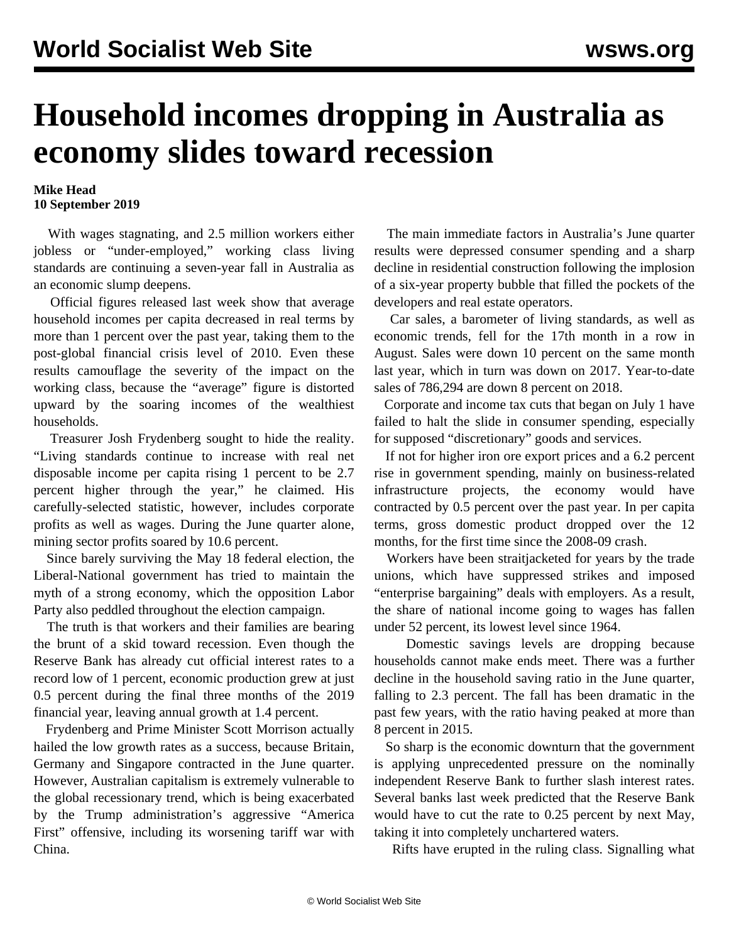## **Household incomes dropping in Australia as economy slides toward recession**

## **Mike Head 10 September 2019**

 With wages stagnating, and 2.5 million workers either jobless or "under-employed," working class living standards are continuing a seven-year fall in Australia as an economic slump deepens.

 Official figures released last week show that average household incomes per capita decreased in real terms by more than 1 percent over the past year, taking them to the post-global financial crisis level of 2010. Even these results camouflage the severity of the impact on the working class, because the "average" figure is distorted upward by the soaring incomes of the wealthiest households.

 Treasurer Josh Frydenberg sought to hide the reality. "Living standards continue to increase with real net disposable income per capita rising 1 percent to be 2.7 percent higher through the year," he claimed. His carefully-selected statistic, however, includes corporate profits as well as wages. During the June quarter alone, mining sector profits soared by 10.6 percent.

 Since barely surviving the May 18 federal election, the Liberal-National government has tried to maintain the myth of a strong economy, which the opposition Labor Party also peddled throughout the election campaign.

 The truth is that workers and their families are bearing the brunt of a skid toward recession. Even though the Reserve Bank has already cut official interest rates to a record low of 1 percent, economic production grew at just 0.5 percent during the final three months of the 2019 financial year, leaving annual growth at 1.4 percent.

 Frydenberg and Prime Minister Scott Morrison actually hailed the low growth rates as a success, because Britain, Germany and Singapore contracted in the June quarter. However, Australian capitalism is extremely vulnerable to the global recessionary trend, which is being exacerbated by the Trump administration's aggressive "America First" offensive, including its worsening tariff war with China.

 The main immediate factors in Australia's June quarter results were depressed consumer spending and a sharp decline in residential construction following the implosion of a six-year property bubble that filled the pockets of the developers and real estate operators.

 Car sales, a barometer of living standards, as well as economic trends, fell for the 17th month in a row in August. Sales were down 10 percent on the same month last year, which in turn was down on 2017. Year-to-date sales of 786,294 are down 8 percent on 2018.

 Corporate and income tax cuts that began on July 1 have failed to halt the slide in consumer spending, especially for supposed "discretionary" goods and services.

 If not for higher iron ore export prices and a 6.2 percent rise in government spending, mainly on business-related infrastructure projects, the economy would have contracted by 0.5 percent over the past year. In per capita terms, gross domestic product dropped over the 12 months, for the first time since the 2008-09 crash.

 Workers have been straitjacketed for years by the trade unions, which have suppressed strikes and imposed "enterprise bargaining" deals with employers. As a result, the share of national income going to wages has fallen under 52 percent, its lowest level since 1964.

 Domestic savings levels are dropping because households cannot make ends meet. There was a further decline in the household saving ratio in the June quarter, falling to 2.3 percent. The fall has been dramatic in the past few years, with the ratio having peaked at more than 8 percent in 2015.

 So sharp is the economic downturn that the government is applying unprecedented pressure on the nominally independent Reserve Bank to further slash interest rates. Several banks last week predicted that the Reserve Bank would have to cut the rate to 0.25 percent by next May, taking it into completely unchartered waters.

Rifts have erupted in the ruling class. Signalling what